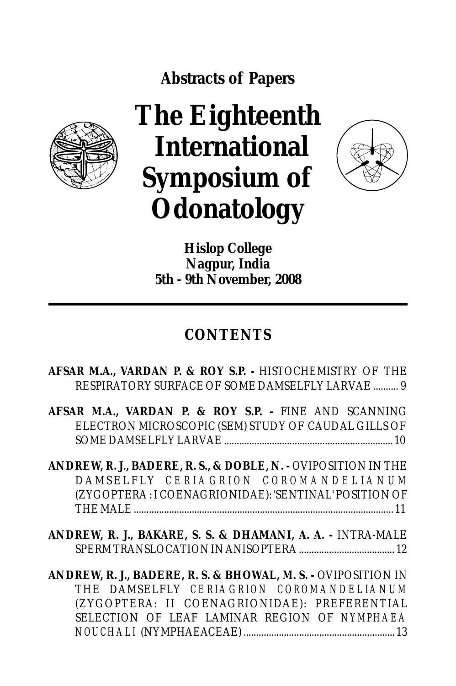**Abstracts of Papers**



## **The Eighteenth International Symposium of Odonatology**



**Hislop College Nagpur, India 5th - 9th November, 2008**

## **CONTENTS**

## **AFSAR M.A., VARDAN P. & ROY S.P. -** HISTOCHEMISTRY OF THE RESPIRATORY SURFACE OF SOME DAMSELFLY LARVAE .......... 9

**AFSAR M.A., VARDAN P. & ROY S.P. -** FINE AND SCANNING ELECTRON MICROSCOPIC (SEM) STUDY OF CAUDAL GILLS OF SOME DAMSELFLY LARVAE ................................................................... 10

**ANDREW, R. J., BADERE, R. S., & DOBLE, N. -** OVIPOSITION IN THE  $DAMSELFLY$  *CERIAGRION COROMANDELIANUM* (ZYGOPTERA : I COENAGRIONIDAE): 'SENTINAL' POSITION OF THE MALE ....................................................................................................... 11

**ANDREW, R. J., BAKARE, S. S. & DHAMANI, A. A. -** INTRA-MALE SPERM TRANSLOCATION IN ANISOPTERA ...................................... 12

**ANDREW, R. J., BADERE, R. S. & BHOWAL, M. S. -** OVIPOSITION IN THE DAMSELFLY *CERIAGRION COROMANDELIANUM* (ZYGOPTERA: II COENAGRIONIDAE): PREFERENTIAL SELECTION OF LEAF LAMINAR REGION OF *NYMPHAEA NOUCHALI* (NYMPHAEACEAE) ............................................................ 13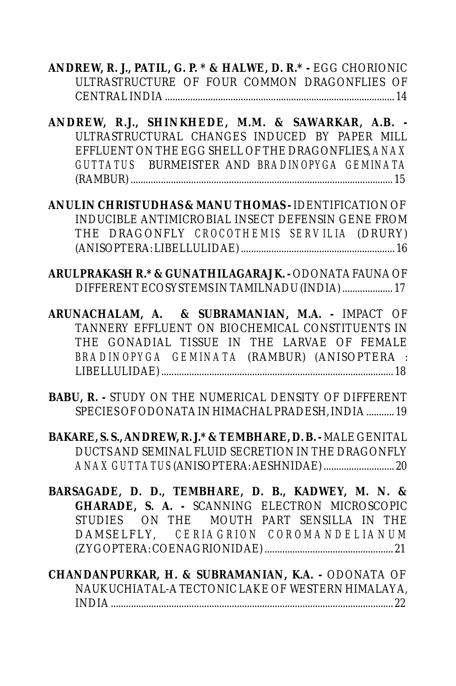**ANDREW, R. J., PATIL, G. P. \* & HALWE, D. R.\* -** EGG CHORIONIC ULTRASTRUCTURE OF FOUR COMMON DRAGONFLIES OF CENTRAL INDIA ........................................................................................... 14

**ANDREW, R.J., SHINKHEDE, M.M. & SAWARKAR, A.B. -** ULTRASTRUCTURAL CHANGES INDUCED BY PAPER MILL EFFLUENT ON THE EGG SHELL OF THE DRAGONFLIES, *ANAX GUTTATUS* BURMEISTER AND *BRADINOPYGA GEMINATA* (RAMBUR) ........................................................................................................ 15

**ANULIN CHRISTUDHAS & MANU THOMAS -** IDENTIFICATION OF INDUCIBLE ANTIMICROBIAL INSECT DEFENSIN GENE FROM THE DRAGONFLY *CROCOTHEMIS SERVILIA* (DRURY) (ANISOPTERA: LIBELLULIDAE) ............................................................. 16

**ARULPRAKASH R.\* & GUNATHILAGARAJ K. -** ODONATA FAUNA OF DIFFERENT ECOSYSTEMS IN TAMILNADU (INDIA) .................... 17

**ARUNACHALAM, A. & SUBRAMANIAN, M.A. -** IMPACT OF TANNERY EFFLUENT ON BIOCHEMICAL CONSTITUENTS IN THE GONADIAL TISSUE IN THE LARVAE OF FEMALE *BRADINOPYGA GEMINATA* (RAMBUR) (ANISOPTERA : LIBELLULIDAE) ............................................................................................ 18

**BABU, R. -** STUDY ON THE NUMERICAL DENSITY OF DIFFERENT SPECIES OF ODONATA IN HIMACHAL PRADESH, INDIA ........... 19

**BAKARE, S. S., ANDREW, R. J.\* & TEMBHARE, D. B. -** MALE GENITAL DUCTS AND SEMINAL FLUID SECRETION IN THE DRAGONFLY *ANAX GUTTATUS* (ANISOPTERA: AESHNIDAE) ............................ 20

- **BARSAGADE, D. D., TEMBHARE, D. B., KADWEY, M. N. & GHARADE, S. A. -** SCANNING ELECTRON MICROSCOPIC STUDIES ON THE MOUTH PART SENSILLA IN THE DAMSELFLY, *CERIAGRION COROMANDELIANUM* (ZYGOPTERA: COENAGRIONIDAE) ................................................... 21
- **CHANDANPURKAR, H. & SUBRAMANIAN, K.A.** ODONATA OF NAUKUCHIATAL-A TECTONIC LAKE OF WESTERN HIMALAYA, INDIA ................................................................................................................ 22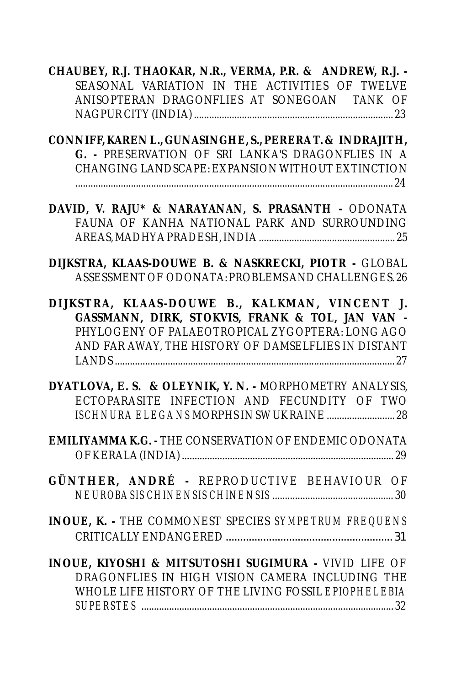**CHAUBEY, R.J. THAOKAR, N.R., VERMA, P.R. & ANDREW, R.J. -**  SEASONAL VARIATION IN THE ACTIVITIES OF TWELVE ANISOPTERAN DRAGONFLIES AT SONEGOAN TANK OF NAGPUR CITY (INDIA) ............................................................................... 23

**CONNIFF, KAREN L., GUNASINGHE, S., PERERA T. & INDRAJITH, G. -** PRESERVATION OF SRI LANKA'S DRAGONFLIES IN A CHANGING LANDSCAPE: EXPANSION WITHOUT EXTINCTION

.............................................................................................................................. 24

**DAVID, V. RAJU\* & NARAYANAN, S. PRASANTH -** ODONATA FAUNA OF KANHA NATIONAL PARK AND SURROUNDING AREAS, MADHYA PRADESH, INDIA ...................................................... 25

**DIJKSTRA, KLAAS-DOUWE B. & NASKRECKI, PIOTR -** GLOBAL ASSESSMENT OF ODONATA: PROBLEMS AND CHALLENGES. 26

**DIJKSTRA, KLAAS-DOUWE B., KALKMAN, VINCENT J. GASSMANN, DIRK, STOKVIS, FRANK & TOL, JAN VAN -**  PHYLOGENY OF PALAEOTROPICAL ZYGOPTERA: LONG AGO AND FAR AWAY, THE HISTORY OF DAMSELFLIES IN DISTANT LANDS ............................................................................................................... 27

**DYATLOVA, E. S. & OLEYNIK, Y. N. -** MORPHOMETRY ANALYSIS, ECTOPARASITE INFECTION AND FECUNDITY OF TWO *ISCHNURA ELEGANS*MORPHS IN SW UKRAINE ........................... 28

**EMILIYAMMA K.G. -** THE CONSERVATION OF ENDEMIC ODONATA OF KERALA (INDIA) .................................................................................... 29

**GÜNTHER, ANDRÉ -** REPRODUCTIVE BEHAVIOUR OF *NEUROBASIS CHINENSIS CHINENSIS* ................................................ 30

**INOUE, K. -** THE COMMONEST SPECIES *SYMPETRUM FREQUENS* CRITICALLY ENDANGERED.......................................................... 31

**INOUE, KIYOSHI & MITSUTOSHI SUGIMURA -** VIVID LIFE OF DRAGONFLIES IN HIGH VISION CAMERA INCLUDING THE WHOLE LIFE HISTORY OF THE LIVING FOSSIL *EPIOPHELEBIA SUPERSTES* .................................................................................................... 32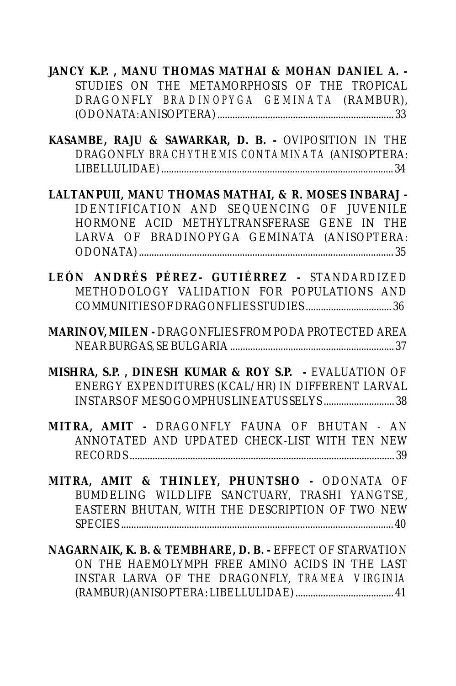**JANCY K.P. , MANU THOMAS MATHAI & MOHAN DANIEL A. -**  STUDIES ON THE METAMORPHOSIS OF THE TROPICAL DRAGONFLY *BRADINOPYGA GEMINATA* (RAMBUR), (ODONATA: ANISOPTERA) ...................................................................... 33

**KASAMBE, RAJU & SAWARKAR, D. B. -** OVIPOSITION IN THE DRAGONFLY *BRACHYTHEMIS CONTAMINATA* (ANISOPTERA: LIBELLULIDAE) ............................................................................................ 34

**LALTANPUII, MANU THOMAS MATHAI, & R. MOSES INBARAJ -**  IDENTIFICATION AND SEQUENCING OF JUVENILE HORMONE ACID METHYLTRANSFERASE GENE IN THE LARVA OF BRADINOPYGA GEMINATA (ANISOPTERA: ODONATA) ..................................................................................................... 35

**LEÓN ANDRÉS PÉREZ- GUTIÉRREZ -** STANDARDIZED METHODOLOGY VALIDATION FOR POPULATIONS AND COMMUNITIES OF DRAGONFLIES STUDIES .................................. 36

**MARINOV, MILEN -** DRAGONFLIES FROM PODA PROTECTED AREA NEAR BURGAS, SE BULGARIA ................................................................. 37

**MISHRA, S.P. , DINESH KUMAR & ROY S.P. -** EVALUATION OF ENERGY EXPENDITURES (KCAL/HR) IN DIFFERENT LARVAL INSTARS OF MESOGOMPHUS LINEATUS SELYS ............................ 38

**MITRA, AMIT -** DRAGONFLY FAUNA OF BHUTAN - AN ANNOTATED AND UPDATED CHECK-LIST WITH TEN NEW RECORDS ......................................................................................................... 39

**MITRA, AMIT & THINLEY, PHUNTSHO -** ODONATA OF BUMDELING WILDLIFE SANCTUARY, TRASHI YANGTSE, EASTERN BHUTAN, WITH THE DESCRIPTION OF TWO NEW SPECIES ............................................................................................................ 40

**NAGARNAIK, K. B. & TEMBHARE, D. B. -** EFFECT OF STARVATION ON THE HAEMOLYMPH FREE AMINO ACIDS IN THE LAST INSTAR LARVA OF THE DRAGONFLY, *TRAMEA VIRGINIA* (RAMBUR) (ANISOPTERA: LIBELLULIDAE) ....................................... 41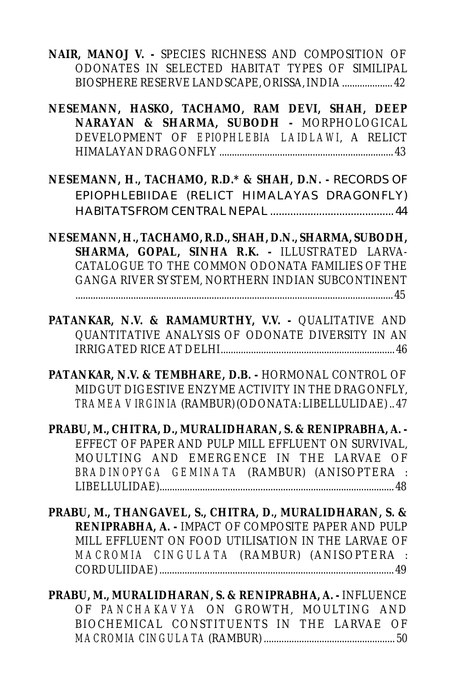**NAIR, MANOJ V. -** SPECIES RICHNESS AND COMPOSITION OF ODONATES IN SELECTED HABITAT TYPES OF SIMILIPAL BIOSPHERE RESERVE LANDSCAPE, ORISSA, INDIA .................... 42

**NESEMANN, HASKO, TACHAMO, RAM DEVI, SHAH, DEEP NARAYAN & SHARMA, SUBODH -** MORPHOLOGICAL DEVELOPMENT OF *EPIOPHLEBIA LAIDLAWI*, A RELICT HIMALAYAN DRAGONFLY ..................................................................... 43

**NESEMANN, H., TACHAMO, R.D.\* & SHAH, D.N. -** RECORDS OF EPIOPHLEBIIDAE (RELICT HIMALAYAS DRAGONFLY) HABITATS FROM CENTRAL NEPAL ........................................... 44

**NESEMANN, H., TACHAMO, R.D., SHAH, D.N., SHARMA, SUBODH, SHARMA, GOPAL, SINHA R.K. -** ILLUSTRATED LARVA-CATALOGUE TO THE COMMON ODONATA FAMILIES OF THE GANGA RIVER SYSTEM, NORTHERN INDIAN SUBCONTINENT

.............................................................................................................................. 45

**PATANKAR, N.V. & RAMAMURTHY, V.V. -** QUALITATIVE AND QUANTITATIVE ANALYSIS OF ODONATE DIVERSITY IN AN IRRIGATED RICE AT DELHI..................................................................... 46

**PATANKAR, N.V. & TEMBHARE, D.B. -** HORMONAL CONTROL OF MIDGUT DIGESTIVE ENZYME ACTIVITY IN THE DRAGONFLY, *TRAMEA VIRGINIA*(RAMBUR) (ODONATA: LIBELLULIDAE) .. 47

**PRABU, M., CHITRA, D., MURALIDHARAN, S. & RENIPRABHA, A. -**  EFFECT OF PAPER AND PULP MILL EFFLUENT ON SURVIVAL, MOULTING AND EMERGENCE IN THE LARVAE OF *BRADINOPYGA GEMINATA* (RAMBUR) (ANISOPTERA : LIBELLULIDAE)............................................................................................. 48

**PRABU, M., THANGAVEL, S., CHITRA, D., MURALIDHARAN, S. & RENIPRABHA, A. -** IMPACT OF COMPOSITE PAPER AND PULP MILL EFFLUENT ON FOOD UTILISATION IN THE LARVAE OF *MACROMIA CINGULATA* (RAMBUR) (ANISOPTERA : CORDULIIDAE) ............................................................................................. 49

**PRABU, M., MURALIDHARAN, S. & RENIPRABHA, A. -** INFLUENCE OF *PANCHAKAVYA* ON GROWTH, MOULTING AND BIOCHEMICAL CONSTITUENTS IN THE LARVAE OF *MACROMIA CINGULATA*(RAMBUR) .................................................... 50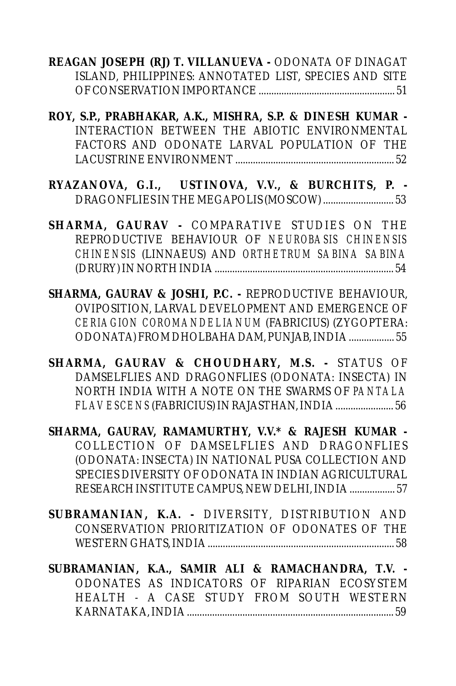**REAGAN JOSEPH (RJ) T. VILLANUEVA -** ODONATA OF DINAGAT ISLAND, PHILIPPINES: ANNOTATED LIST, SPECIES AND SITE OF CONSERVATION IMPORTANCE ...................................................... 51

**ROY, S.P., PRABHAKAR, A.K., MISHRA, S.P. & DINESH KUMAR -**  INTERACTION BETWEEN THE ABIOTIC ENVIRONMENTAL FACTORS AND ODONATE LARVAL POPULATION OF THE LACUSTRINE ENVIRONMENT ............................................................... 52

**RYAZANOVA, G.I., USTINOVA, V.V., & BURCHITS, P. -** DRAGONFLIES IN THE MEGAPOLIS (MOSCOW) ............................ 53

**SHARMA, GAURAV -** COMPARATIVE STUDIES ON THE REPRODUCTIVE BEHAVIOUR OF *NEUROBASIS CHINENSIS CHINENSIS* (LINNAEUS) AND *ORTHETRUM SABINA SABINA* (DRURY) IN NORTH INDIA ....................................................................... 54

**SHARMA, GAURAV & JOSHI, P.C. -** REPRODUCTIVE BEHAVIOUR, OVIPOSITION, LARVAL DEVELOPMENT AND EMERGENCE OF *CERIAGION COROMANDELIANUM* (FABRICIUS) (ZYGOPTERA: ODONATA) FROM DHOLBAHA DAM, PUNJAB, INDIA .................. 55

**SHARMA, GAURAV & CHOUDHARY, M.S. -** STATUS OF DAMSELFLIES AND DRAGONFLIES (ODONATA: INSECTA) IN NORTH INDIA WITH A NOTE ON THE SWARMS OF *PANTALA FLAVESCENS* (FABRICIUS) IN RAJASTHAN, INDIA ....................... 56

**SHARMA, GAURAV, RAMAMURTHY, V.V.\* & RAJESH KUMAR -**  COLLECTION OF DAMSELFLIES AND DRAGONFLIES (ODONATA: INSECTA) IN NATIONAL PUSA COLLECTION AND SPECIES DIVERSITY OF ODONATA IN INDIAN AGRICULTURAL RESEARCH INSTITUTE CAMPUS, NEW DELHI, INDIA .................. 57

**SUBRAMANIAN, K.A. -** DIVERSITY, DISTRIBUTION AND CONSERVATION PRIORITIZATION OF ODONATES OF THE WESTERN GHATS, INDIA .......................................................................... 58

**SUBRAMANIAN, K.A., SAMIR ALI & RAMACHANDRA, T.V. -**  ODONATES AS INDICATORS OF RIPARIAN ECOSYSTEM HEALTH - A CASE STUDY FROM SOUTH WESTERN KARNATAKA, INDIA .................................................................................. 59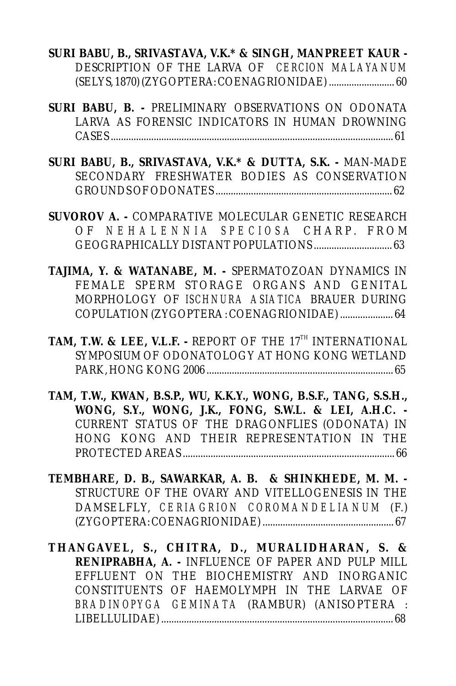- **SURI BABU, B., SRIVASTAVA, V.K.\* & SINGH, MANPREET KAUR**  DESCRIPTION OF THE LARVA OF *CERCION MALAYANUM* (SELYS, 1870) (ZYGOPTERA: COENAGRIONIDAE) .......................... 60
- **SURI BABU, B.** PRELIMINARY OBSERVATIONS ON ODONATA LARVA AS FORENSIC INDICATORS IN HUMAN DROWNING CASES ................................................................................................................ 61
- **SURI BABU, B., SRIVASTAVA, V.K.\* & DUTTA, S.K.** MAN-MADE SECONDARY FRESHWATER BODIES AS CONSERVATION GROUNDS OF ODONATES ...................................................................... 62
- **SUVOROV A.** COMPARATIVE MOLECULAR GENETIC RESEARCH O F *N E H A L E N N I A S P E C I O S A* C H A R P . F R O M GEOGRAPHICALLY DISTANT POPULATIONS ............................... 63
- **TAJIMA, Y. & WATANABE, M.** SPERMATOZOAN DYNAMICS IN FEMALE SPERM STORAGE ORGANS AND GENITAL MORPHOLOGY OF *ISCHNURA ASIATICA* BRAUER DURING COPULATION (ZYGOPTERA : COENAGRIONIDAE) ..................... 64
- TAM, T.W. & LEE, V.L.F. REPORT OF THE 17<sup>TH</sup> INTERNATIONAL SYMPOSIUM OF ODONATOLOGY AT HONG KONG WETLAND PARK, HONG KONG 2006 .......................................................................... 65
- **TAM, T.W., KWAN, B.S.P., WU, K.K.Y., WONG, B.S.F., TANG, S.S.H., WONG, S.Y., WONG, J.K., FONG, S.W.L. & LEI, A.H.C. -**  CURRENT STATUS OF THE DRAGONFLIES (ODONATA) IN HONG KONG AND THEIR REPRESENTATION IN THE PROTECTED AREAS .................................................................................... 66
- **TEMBHARE, D. B., SAWARKAR, A. B. & SHINKHEDE, M. M.**  STRUCTURE OF THE OVARY AND VITELLOGENESIS IN THE DAMSELFLY, *CERIAGRION COROMANDELIANUM* (F.) (ZYGOPTERA: COENAGRIONIDAE) .................................................... 67

**THANGAVEL, S., CHITRA, D., MURALIDHARAN, S. & RENIPRABHA, A. -** INFLUENCE OF PAPER AND PULP MILL EFFLUENT ON THE BIOCHEMISTRY AND INORGANIC CONSTITUENTS OF HAEMOLYMPH IN THE LARVAE OF *BRADINOPYGA GEMINATA* (RAMBUR) (ANISOPTERA : LIBELLULIDAE) ............................................................................................ 68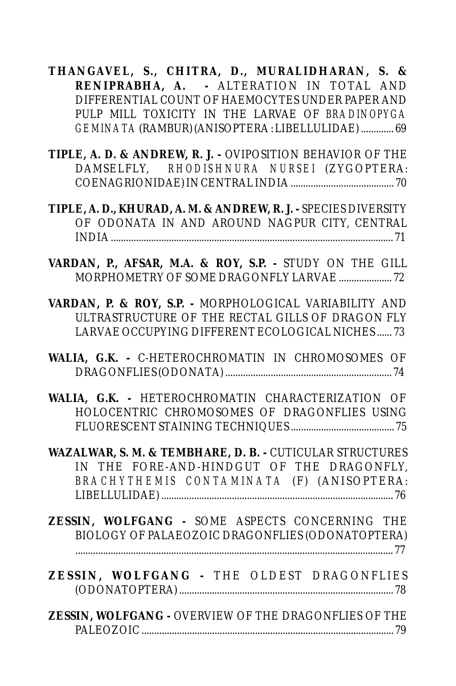**THANGAVEL, S., CHITRA, D., MURALIDHARAN, S. & RENIPRABHA, A. -** ALTERATION IN TOTAL AND DIFFERENTIAL COUNT OF HAEMOCYTES UNDER PAPER AND PULP MILL TOXICITY IN THE LARVAE OF *BRADINOPYGA GEMINATA*(RAMBUR) (ANISOPTERA : LIBELLULIDAE) ............. 69

**TIPLE, A. D. & ANDREW, R. J. -** OVIPOSITION BEHAVIOR OF THE DAMSELFLY, *RHODISHNURA NURSEI* (ZYGOPTERA: COENAGRIONIDAE) IN CENTRAL INDIA ......................................... 70

**TIPLE, A. D., KHURAD, A. M. & ANDREW, R. J. -** SPECIES DIVERSITY OF ODONATA IN AND AROUND NAGPUR CITY, CENTRAL INDIA ................................................................................................................ 71

**VARDAN, P., AFSAR, M.A. & ROY, S.P. -** STUDY ON THE GILL MORPHOMETRY OF SOME DRAGONFLY LARVAE ..................... 72

**VARDAN, P. & ROY, S.P. -** MORPHOLOGICAL VARIABILITY AND ULTRASTRUCTURE OF THE RECTAL GILLS OF DRAGON FLY LARVAE OCCUPYING DIFFERENT ECOLOGICAL NICHES ...... 73

**WALIA, G.K. -** C-HETEROCHROMATIN IN CHROMOSOMES OF DRAGONFLIES (ODONATA) .................................................................. 74

**WALIA, G.K. -** HETEROCHROMATIN CHARACTERIZATION OF HOLOCENTRIC CHROMOSOMES OF DRAGONFLIES USING FLUORESCENT STAINING TECHNIQUES ......................................... 75

**WAZALWAR, S. M. & TEMBHARE, D. B. -** CUTICULAR STRUCTURES IN THE FORE-AND-HINDGUT OF THE DRAGONFLY, *BRACHYTHEMIS CONTAMINATA* (F) (ANISOPTERA: LIBELLULIDAE) ............................................................................................ 76

**ZESSIN, WOLFGANG -** SOME ASPECTS CONCERNING THE BIOLOGY OF PALAEOZOIC DRAGONFLIES (ODONATOPTERA) .............................................................................................................................. 77

**ZESSIN, WOLFGANG -** THE OLDEST DRAGONFLIES (ODONATOPTERA) ..................................................................................... 78

**ZESSIN, WOLFGANG -** OVERVIEW OF THE DRAGONFLIES OF THE PALEOZOIC .................................................................................................... 79